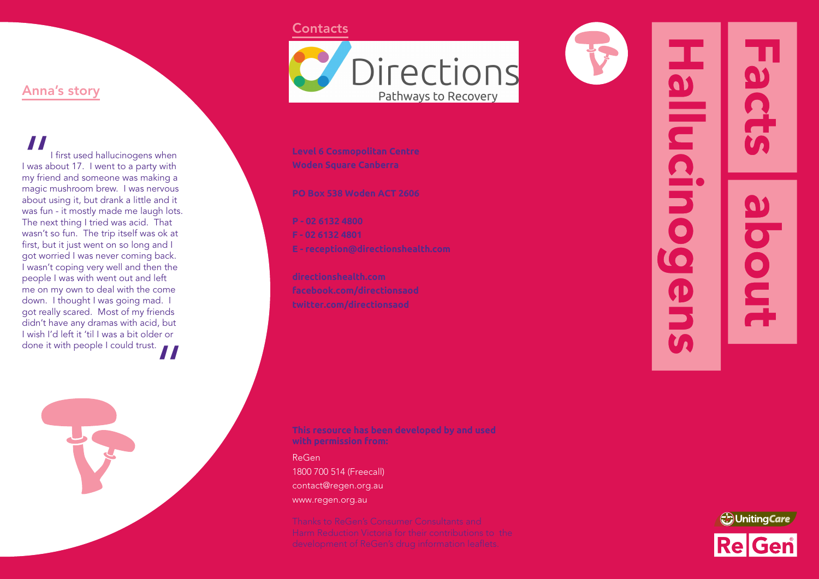# Anna's story

|<br>| was ak<br>| my frier<br>| magic r I first used hallucinogens when I was about 17. I went to a party with my friend and someone was making a magic mushroom brew. I was nervous about using it, but drank a little and it was fun - it mostly made me laugh lots. The next thing I tried was acid. That wasn't so fun. The trip itself was ok at first, but it just went on so long and I got worried I was never coming back. I wasn't coping very well and then the people I was with went out and left me on my own to deal with the come down. I thought I was going mad. got really scared. Most of my friends didn't have any dramas with acid, but I wish I'd left it 'til I was a bit older or done it with people I could trust.



### **Contacts**



ReGen 1800 700 514 (Freecall) contact@regen.org.au www.regen.org.au



71 **Hallucino** scts anode

 $\overline{\mathbf{O}}$ 

OUI

**In**